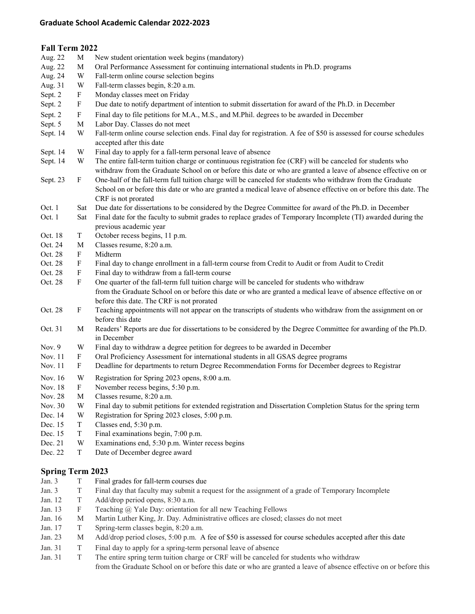## **Graduate School Academic Calendar 2022-2023**

| Fall Term 2022 |                           |                                                                                                                                                                                                                                                        |  |  |  |
|----------------|---------------------------|--------------------------------------------------------------------------------------------------------------------------------------------------------------------------------------------------------------------------------------------------------|--|--|--|
| Aug. 22        | M                         | New student orientation week begins (mandatory)                                                                                                                                                                                                        |  |  |  |
| Aug. 22        | M                         | Oral Performance Assessment for continuing international students in Ph.D. programs                                                                                                                                                                    |  |  |  |
| Aug. 24        | W                         | Fall-term online course selection begins                                                                                                                                                                                                               |  |  |  |
| Aug. 31        | W                         | Fall-term classes begin, 8:20 a.m.                                                                                                                                                                                                                     |  |  |  |
| Sept. 2        | $\mathbf{F}$              | Monday classes meet on Friday                                                                                                                                                                                                                          |  |  |  |
| Sept. 2        | $\boldsymbol{\mathrm{F}}$ | Due date to notify department of intention to submit dissertation for award of the Ph.D. in December                                                                                                                                                   |  |  |  |
| Sept. 2        | F                         | Final day to file petitions for M.A., M.S., and M.Phil. degrees to be awarded in December                                                                                                                                                              |  |  |  |
| Sept. 5        | $\mathbf M$               | Labor Day. Classes do not meet                                                                                                                                                                                                                         |  |  |  |
| Sept. 14       | W                         | Fall-term online course selection ends. Final day for registration. A fee of \$50 is assessed for course schedules<br>accepted after this date                                                                                                         |  |  |  |
| Sept. 14       | W                         | Final day to apply for a fall-term personal leave of absence                                                                                                                                                                                           |  |  |  |
| Sept. 14       | W                         | The entire fall-term tuition charge or continuous registration fee (CRF) will be canceled for students who<br>withdraw from the Graduate School on or before this date or who are granted a leave of absence effective on or                           |  |  |  |
| Sept. 23       | F                         | One-half of the fall-term full tuition charge will be canceled for students who withdraw from the Graduate<br>School on or before this date or who are granted a medical leave of absence effective on or before this date. The<br>CRF is not prorated |  |  |  |
| Oct. 1         | Sat                       | Due date for dissertations to be considered by the Degree Committee for award of the Ph.D. in December                                                                                                                                                 |  |  |  |
| Oct. 1         | Sat                       | Final date for the faculty to submit grades to replace grades of Temporary Incomplete (TI) awarded during the<br>previous academic year                                                                                                                |  |  |  |
| Oct. 18        | T                         | October recess begins, 11 p.m.                                                                                                                                                                                                                         |  |  |  |
| Oct. 24        | $\mathbf M$               | Classes resume, 8:20 a.m.                                                                                                                                                                                                                              |  |  |  |
| Oct. 28        | F                         | Midterm                                                                                                                                                                                                                                                |  |  |  |
| Oct. 28        | F                         | Final day to change enrollment in a fall-term course from Credit to Audit or from Audit to Credit                                                                                                                                                      |  |  |  |
| Oct. 28        | F                         | Final day to withdraw from a fall-term course                                                                                                                                                                                                          |  |  |  |
| Oct. 28        | F                         | One quarter of the fall-term full tuition charge will be canceled for students who withdraw                                                                                                                                                            |  |  |  |
|                |                           | from the Graduate School on or before this date or who are granted a medical leave of absence effective on or<br>before this date. The CRF is not prorated                                                                                             |  |  |  |
| Oct. 28        | F                         | Teaching appointments will not appear on the transcripts of students who withdraw from the assignment on or<br>before this date                                                                                                                        |  |  |  |
| Oct. 31        | М                         | Readers' Reports are due for dissertations to be considered by the Degree Committee for awarding of the Ph.D.<br>in December                                                                                                                           |  |  |  |
| Nov. 9         | W                         | Final day to withdraw a degree petition for degrees to be awarded in December                                                                                                                                                                          |  |  |  |
| Nov. 11        | $\mathbf{F}$              | Oral Proficiency Assessment for international students in all GSAS degree programs                                                                                                                                                                     |  |  |  |
| Nov. 11        | F                         | Deadline for departments to return Degree Recommendation Forms for December degrees to Registrar                                                                                                                                                       |  |  |  |
| Nov. 16        | W                         | Registration for Spring 2023 opens, 8:00 a.m.                                                                                                                                                                                                          |  |  |  |
| Nov. 18        | $\, {\rm F}$              | November recess begins, 5:30 p.m.                                                                                                                                                                                                                      |  |  |  |
| Nov. 28        | M                         | Classes resume, 8:20 a.m.                                                                                                                                                                                                                              |  |  |  |
| Nov. 30        | W                         | Final day to submit petitions for extended registration and Dissertation Completion Status for the spring term                                                                                                                                         |  |  |  |
| Dec. 14        | W                         | Registration for Spring 2023 closes, 5:00 p.m.                                                                                                                                                                                                         |  |  |  |
| Dec. 15        | $\mathbf T$               | Classes end, 5:30 p.m.                                                                                                                                                                                                                                 |  |  |  |
| Dec. 15        | $\mathbf T$               | Final examinations begin, 7:00 p.m.                                                                                                                                                                                                                    |  |  |  |
| Dec. 21        | W                         | Examinations end, 5:30 p.m. Winter recess begins                                                                                                                                                                                                       |  |  |  |
| Dec. 22        | T                         | Date of December degree award                                                                                                                                                                                                                          |  |  |  |

## **Spring Term 2023**

| Jan. $3$ |    | Final grades for fall-term courses due                                                                    |
|----------|----|-----------------------------------------------------------------------------------------------------------|
| Jan. $3$ |    | Final day that faculty may submit a request for the assignment of a grade of Temporary Incomplete         |
| Jan. 12  |    | Add/drop period opens, 8:30 a.m.                                                                          |
| Jan. 13  | F. | Teaching @ Yale Day: orientation for all new Teaching Fellows                                             |
| Jan. 16  | M  | Martin Luther King, Jr. Day. Administrative offices are closed; classes do not meet                       |
| Jan. 17  |    | Spring-term classes begin, 8:20 a.m.                                                                      |
| Jan. 23  | М  | Add/drop period closes, 5:00 p.m. A fee of \$50 is assessed for course schedules accepted after this date |
| Jan. 31  |    | Final day to apply for a spring-term personal leave of absence                                            |
| Jan. 31  |    | The entire spring term tuition charge or CRF will be canceled for students who withdraw                   |

from the Graduate School on or before this date or who are granted a leave of absence effective on or before this